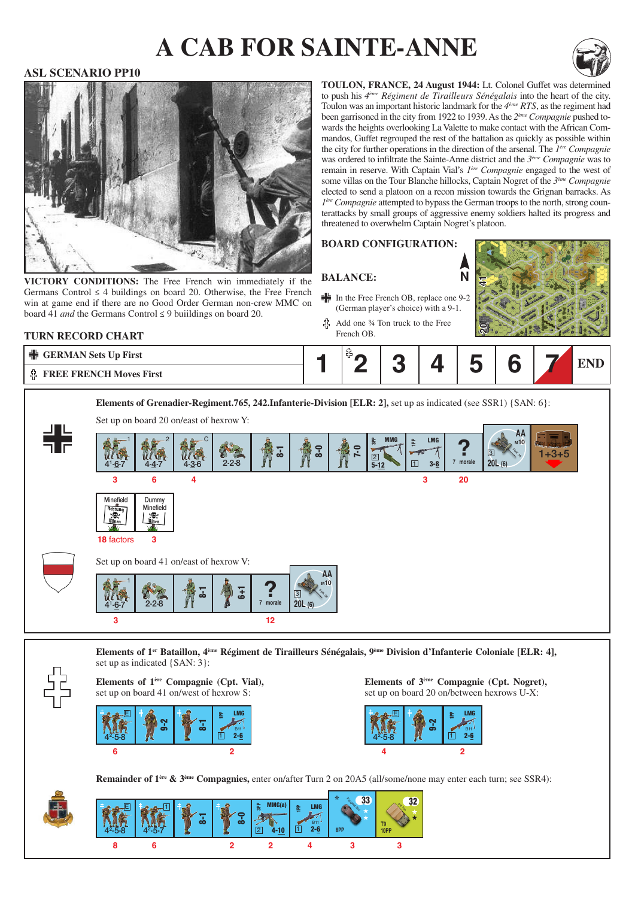# **a cab for sainte-anne**



#### **ASL SCENARIO PP10**



VICTORY CONDITIONS: The Free French win immediately if the Germans Control  $\leq$  4 buildings on board 20. Otherwise, the Free French win at game end if there are no Good Order German non-crew MMC on board 41 *and* the Germans Control ≤ 9 buiildings on board 20.

**toulon, france, 24 August 1944:** Lt. Colonel Guffet was determined to push his *4ème Régiment de Tirailleurs Sénégalais* into the heart of the city. Toulon was an important historic landmark for the *4ème RTS*, as the regiment had been garrisoned in the city from 1922 to 1939. As the *2ème Compagnie* pushed towards the heights overlooking La Valette to make contact with the African Commandos, Guffet regrouped the rest of the battalion as quickly as possible within the city for further operations in the direction of the arsenal. The *1ère Compagnie* was ordered to infiltrate the Sainte-Anne district and the *3ème Compagnie* was to remain in reserve. With Captain Vial's *1ère Compagnie* engaged to the west of some villas on the Tour Blanche hillocks, Captain Nogret of the *3ème Compagnie* elected to send a platoon on a recon mission towards the Grignan barracks. As *1ère Compagnie* attempted to bypass the German troops to the north, strong counterattacks by small groups of aggressive enemy soldiers halted its progress and threatened to overwhelm Captain Nogret's platoon.

**N**

#### **Board configuration:**

### **Balance:**

- In the Free French OB, replace one 9-2 (German player's choice) with a 9-1.
- Add one ¾ Ton truck to the Free French OB.



#### **TURN RECORD CHART**

| │ <del>●</del> GERMAN Sets Up First |  |  | -- |  |  |
|-------------------------------------|--|--|----|--|--|
| <b>非 FREE FRENCH Moves First</b>    |  |  |    |  |  |



**Elements of 1er Bataillon, 4ème Régiment de Tirailleurs Sénégalais, 9ème Division d'Infanterie Coloniale [ELR: 4],**  set up as indicated {SAN: 3}:

#### **Elements of 1ère Compagnie (Cpt. Vial),** set up on board 41 on/west of hexrow S:



**Elements of 3ème Compagnie (Cpt. Nogret),** set up on board 20 on/between hexrows U-X:



**Remainder of 1ère & 3ème Compagnies,** enter on/after Turn 2 on 20A5 (all/some/none may enter each turn; see SSR4):